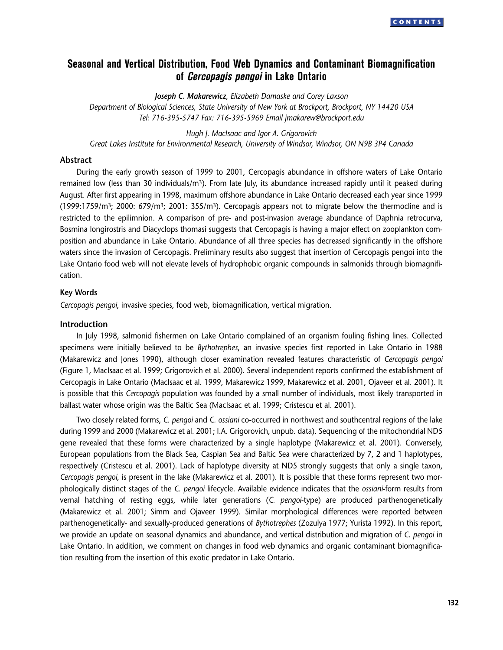# **Seasonal and Vertical Distribution, Food Web Dynamics and Contaminant Biomagnification of Cercopagis pengoi in Lake Ontario**

*Joseph C. Makarewicz, Elizabeth Damaske and Corey Laxson*

*Department of Biological Sciences, State University of New York at Brockport, Brockport, NY 14420 USA Tel: 716-395-5747 Fax: 716-395-5969 Email jmakarew@brockport.edu*

*Hugh J. MacIsaac and Igor A. Grigorovich Great Lakes Institute for Environmental Research, University of Windsor, Windsor, ON N9B 3P4 Canada*

## **Abstract**

During the early growth season of 1999 to 2001, Cercopagis abundance in offshore waters of Lake Ontario remained low (less than 30 individuals/m<sup>3</sup>). From late July, its abundance increased rapidly until it peaked during August. After first appearing in 1998, maximum offshore abundance in Lake Ontario decreased each year since 1999  $(1999:1759/m^3; 2000: 679/m^3; 2001: 355/m^3)$ . Cercopagis appears not to migrate below the thermocline and is restricted to the epilimnion. A comparison of pre- and post-invasion average abundance of Daphnia retrocurva, Bosmina longirostris and Diacyclops thomasi suggests that Cercopagis is having a major effect on zooplankton composition and abundance in Lake Ontario. Abundance of all three species has decreased significantly in the offshore waters since the invasion of Cercopagis. Preliminary results also suggest that insertion of Cercopagis pengoi into the Lake Ontario food web will not elevate levels of hydrophobic organic compounds in salmonids through biomagnification.

## **Key Words**

*Cercopagis pengoi*, invasive species, food web, biomagnification, vertical migration.

### **Introduction**

In July 1998, salmonid fishermen on Lake Ontario complained of an organism fouling fishing lines. Collected specimens were initially believed to be *Bythotrephes*, an invasive species first reported in Lake Ontario in 1988 (Makarewicz and Jones 1990), although closer examination revealed features characteristic of *Cercopagis pengoi* (Figure 1, MacIsaac et al. 1999; Grigorovich et al. 2000). Several independent reports confirmed the establishment of Cercopagis in Lake Ontario (MacIsaac et al. 1999, Makarewicz 1999, Makarewicz et al. 2001, Ojaveer et al. 2001). It is possible that this *Cercopagis* population was founded by a small number of individuals, most likely transported in ballast water whose origin was the Baltic Sea (MacIsaac et al. 1999; Cristescu et al. 2001).

Two closely related forms, *C. pengoi* and *C. ossiani* co-occurred in northwest and southcentral regions of the lake during 1999 and 2000 (Makarewicz et al. 2001; I.A. Grigorovich, unpub. data). Sequencing of the mitochondrial ND5 gene revealed that these forms were characterized by a single haplotype (Makarewicz et al. 2001). Conversely, European populations from the Black Sea, Caspian Sea and Baltic Sea were characterized by 7, 2 and 1 haplotypes, respectively (Cristescu et al. 2001). Lack of haplotype diversity at ND5 strongly suggests that only a single taxon, *Cercopagis pengoi*, is present in the lake (Makarewicz et al. 2001). It is possible that these forms represent two morphologically distinct stages of the *C. pengoi* lifecycle. Available evidence indicates that the *ossiani*-form results from vernal hatching of resting eggs, while later generations (*C. pengoi*-type) are produced parthenogenetically (Makarewicz et al. 2001; Simm and Ojaveer 1999). Similar morphological differences were reported between parthenogenetically- and sexually-produced generations of *Bythotrephes* (Zozulya 1977; Yurista 1992). In this report, we provide an update on seasonal dynamics and abundance, and vertical distribution and migration of *C. pengoi* in Lake Ontario. In addition, we comment on changes in food web dynamics and organic contaminant biomagnification resulting from the insertion of this exotic predator in Lake Ontario.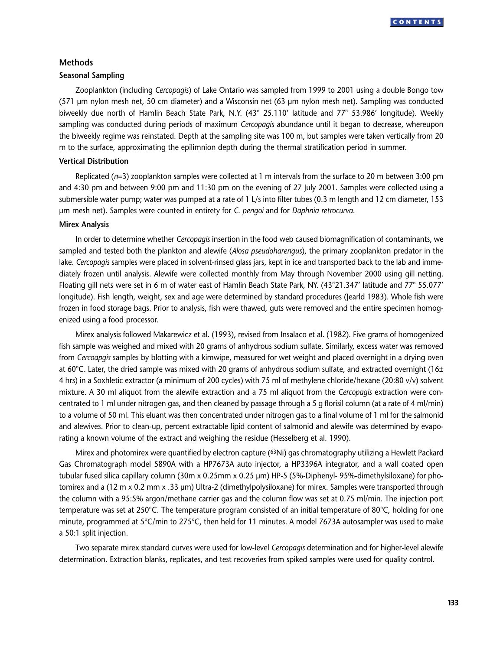

# **Methods**

# **Seasonal Sampling**

Zooplankton (including *Cercopagis*) of Lake Ontario was sampled from 1999 to 2001 using a double Bongo tow (571 µm nylon mesh net, 50 cm diameter) and a Wisconsin net (63 µm nylon mesh net). Sampling was conducted biweekly due north of Hamlin Beach State Park, N.Y. (43° 25.110' latitude and 77° 53.986' longitude). Weekly sampling was conducted during periods of maximum *Cercopagis* abundance until it began to decrease, whereupon the biweekly regime was reinstated. Depth at the sampling site was 100 m, but samples were taken vertically from 20 m to the surface, approximating the epilimnion depth during the thermal stratification period in summer.

## **Vertical Distribution**

Replicated (*n*=3) zooplankton samples were collected at 1 m intervals from the surface to 20 m between 3:00 pm and 4:30 pm and between 9:00 pm and 11:30 pm on the evening of 27 July 2001. Samples were collected using a submersible water pump; water was pumped at a rate of 1 L/s into filter tubes (0.3 m length and 12 cm diameter, 153 µm mesh net). Samples were counted in entirety for *C*. *pengoi* and for *Daphnia retrocurva*.

#### **Mirex Analysis**

In order to determine whether *Cercopagis* insertion in the food web caused biomagnification of contaminants, we sampled and tested both the plankton and alewife (*Alosa pseudoharengus*), the primary zooplankton predator in the lake. *Cercopagis* samples were placed in solvent-rinsed glass jars, kept in ice and transported back to the lab and immediately frozen until analysis. Alewife were collected monthly from May through November 2000 using gill netting. Floating gill nets were set in 6 m of water east of Hamlin Beach State Park, NY. (43°21.347' latitude and 77° 55.077' longitude). Fish length, weight, sex and age were determined by standard procedures (Jearld 1983). Whole fish were frozen in food storage bags. Prior to analysis, fish were thawed, guts were removed and the entire specimen homogenized using a food processor.

Mirex analysis followed Makarewicz et al. (1993), revised from Insalaco et al. (1982). Five grams of homogenized fish sample was weighed and mixed with 20 grams of anhydrous sodium sulfate. Similarly, excess water was removed from *Cercoapgis* samples by blotting with a kimwipe, measured for wet weight and placed overnight in a drying oven at 60 $^{\circ}$ C. Later, the dried sample was mixed with 20 grams of anhydrous sodium sulfate, and extracted overnight (16 $\pm$ 4 hrs) in a Soxhletic extractor (a minimum of 200 cycles) with 75 ml of methylene chloride/hexane (20:80 v/v) solvent mixture. A 30 ml aliquot from the alewife extraction and a 75 ml aliquot from the *Cercopagis* extraction were concentrated to 1 ml under nitrogen gas, and then cleaned by passage through a 5 g florisil column (at a rate of 4 ml/min) to a volume of 50 ml. This eluant was then concentrated under nitrogen gas to a final volume of 1 ml for the salmonid and alewives. Prior to clean-up, percent extractable lipid content of salmonid and alewife was determined by evaporating a known volume of the extract and weighing the residue (Hesselberg et al. 1990).

Mirex and photomirex were quantified by electron capture (63Ni) gas chromatography utilizing a Hewlett Packard Gas Chromatograph model 5890A with a HP7673A auto injector, a HP3396A integrator, and a wall coated open tubular fused silica capillary column (30m x 0.25mm x 0.25 µm) HP-5 (5%-Diphenyl- 95%-dimethylsiloxane) for photomirex and a (12 m x 0.2 mm x .33 µm) Ultra-2 (dimethylpolysiloxane) for mirex. Samples were transported through the column with a 95:5% argon/methane carrier gas and the column flow was set at 0.75 ml/min. The injection port temperature was set at 250°C. The temperature program consisted of an initial temperature of 80°C, holding for one minute, programmed at 5°C/min to 275°C, then held for 11 minutes. A model 7673A autosampler was used to make a 50:1 split injection.

Two separate mirex standard curves were used for low-level *Cercopagis* determination and for higher-level alewife determination. Extraction blanks, replicates, and test recoveries from spiked samples were used for quality control.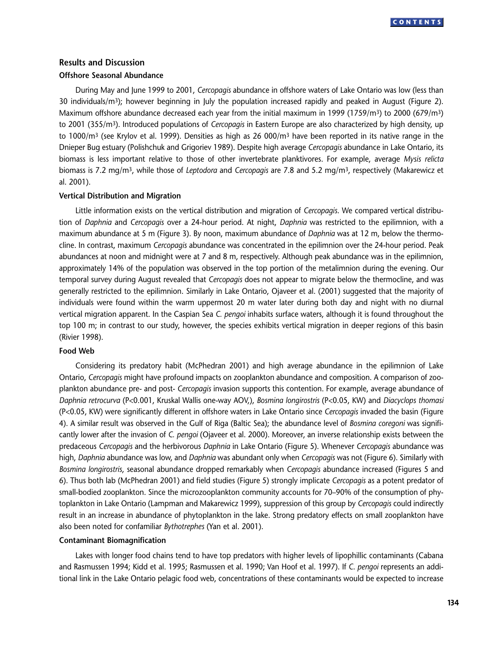

# **Results and Discussion Offshore Seasonal Abundance**

During May and June 1999 to 2001, *Cercopagis* abundance in offshore waters of Lake Ontario was low (less than 30 individuals/m<sup>3</sup>); however beginning in July the population increased rapidly and peaked in August (Figure 2). Maximum offshore abundance decreased each year from the initial maximum in 1999 (1759/m3) to 2000 (679/m3) to 2001 (355/m3). Introduced populations of *Cercopagis* in Eastern Europe are also characterized by high density, up to 1000/m<sup>3</sup> (see Krylov et al. 1999). Densities as high as 26 000/m<sup>3</sup> have been reported in its native range in the Dnieper Bug estuary (Polishchuk and Grigoriev 1989). Despite high average *Cercopagis* abundance in Lake Ontario, its biomass is less important relative to those of other invertebrate planktivores. For example, average *Mysis relicta* biomass is 7.2 mg/m3, while those of *Leptodora* and *Cercopagis* are 7.8 and 5.2 mg/m3, respectively (Makarewicz et al. 2001).

## **Vertical Distribution and Migration**

Little information exists on the vertical distribution and migration of *Cercopagis*. We compared vertical distribution of *Daphnia* and *Cercopagis* over a 24-hour period. At night, *Daphnia* was restricted to the epilimnion, with a maximum abundance at 5 m (Figure 3). By noon, maximum abundance of *Daphnia* was at 12 m, below the thermocline. In contrast, maximum *Cercopagis* abundance was concentrated in the epilimnion over the 24-hour period. Peak abundances at noon and midnight were at 7 and 8 m, respectively. Although peak abundance was in the epilimnion, approximately 14% of the population was observed in the top portion of the metalimnion during the evening. Our temporal survey during August revealed that *Cercopagis* does not appear to migrate below the thermocline, and was generally restricted to the epilimnion. Similarly in Lake Ontario, Ojaveer et al. (2001) suggested that the majority of individuals were found within the warm uppermost 20 m water later during both day and night with no diurnal vertical migration apparent. In the Caspian Sea *C. pengoi* inhabits surface waters, although it is found throughout the top 100 m; in contrast to our study, however, the species exhibits vertical migration in deeper regions of this basin (Rivier 1998).

### **Food Web**

Considering its predatory habit (McPhedran 2001) and high average abundance in the epilimnion of Lake Ontario, *Cercopagis* might have profound impacts on zooplankton abundance and composition. A comparison of zooplankton abundance pre- and post- *Cercopagis* invasion supports this contention. For example, average abundance of *Daphnia retrocurva* (P<0.001, Kruskal Wallis one-way AOV,), *Bosmina longirostris* (P<0.05, KW) and *Diacyclops thomasi* (P<0.05, KW) were significantly different in offshore waters in Lake Ontario since *Cercopagis* invaded the basin (Figure 4). A similar result was observed in the Gulf of Riga (Baltic Sea); the abundance level of *Bosmina coregoni* was significantly lower after the invasion of *C. pengoi* (Ojaveer et al. 2000). Moreover, an inverse relationship exists between the predaceous *Cercopagis* and the herbivorous *Daphnia* in Lake Ontario (Figure 5). Whenever *Cercopagis* abundance was high, *Daphnia* abundance was low, and *Daphnia* was abundant only when *Cercopagis* was not (Figure 6). Similarly with *Bosmina longirostris*, seasonal abundance dropped remarkably when *Cercopagis* abundance increased (Figures 5 and 6). Thus both lab (McPhedran 2001) and field studies (Figure 5) strongly implicate *Cercopagis* as a potent predator of small-bodied zooplankton. Since the microzooplankton community accounts for 70–90% of the consumption of phytoplankton in Lake Ontario (Lampman and Makarewicz 1999), suppression of this group by *Cercopagis* could indirectly result in an increase in abundance of phytoplankton in the lake. Strong predatory effects on small zooplankton have also been noted for confamiliar *Bythotrephes* (Yan et al. 2001).

## **Contaminant Biomagnification**

Lakes with longer food chains tend to have top predators with higher levels of lipophillic contaminants (Cabana and Rasmussen 1994; Kidd et al. 1995; Rasmussen et al. 1990; Van Hoof et al. 1997). If *C*. *pengoi* represents an additional link in the Lake Ontario pelagic food web, concentrations of these contaminants would be expected to increase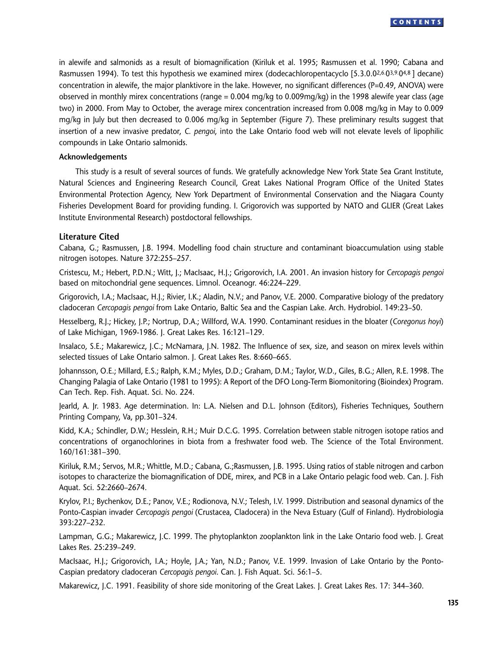in alewife and salmonids as a result of biomagnification (Kiriluk et al. 1995; Rasmussen et al. 1990; Cabana and Rasmussen 1994). To test this hypothesis we examined mirex (dodecachloropentacyclo [5.3.0.02,6.03,9.04,8 ] decane) concentration in alewife, the major planktivore in the lake. However, no significant differences (P=0.49, ANOVA) were observed in monthly mirex concentrations (range = 0.004 mg/kg to 0.009mg/kg) in the 1998 alewife year class (age two) in 2000. From May to October, the average mirex concentration increased from 0.008 mg/kg in May to 0.009 mg/kg in July but then decreased to 0.006 mg/kg in September (Figure 7). These preliminary results suggest that insertion of a new invasive predator, *C. pengoi*, into the Lake Ontario food web will not elevate levels of lipophilic compounds in Lake Ontario salmonids.

### **Acknowledgements**

This study is a result of several sources of funds. We gratefully acknowledge New York State Sea Grant Institute, Natural Sciences and Engineering Research Council, Great Lakes National Program Office of the United States Environmental Protection Agency, New York Department of Environmental Conservation and the Niagara County Fisheries Development Board for providing funding. I. Grigorovich was supported by NATO and GLIER (Great Lakes Institute Environmental Research) postdoctoral fellowships.

## **Literature Cited**

Cabana, G.; Rasmussen, J.B. 1994. Modelling food chain structure and contaminant bioaccumulation using stable nitrogen isotopes. Nature 372:255–257.

Cristescu, M.; Hebert, P.D.N.; Witt, J.; MacIsaac, H.J.; Grigorovich, I.A. 2001. An invasion history for *Cercopagis pengoi* based on mitochondrial gene sequences. Limnol. Oceanogr. 46:224–229.

Grigorovich, I.A.; MacIsaac, H.J.; Rivier, I.K.; Aladin, N.V.; and Panov, V.E. 2000. Comparative biology of the predatory cladoceran *Cercopagis pengoi* from Lake Ontario, Baltic Sea and the Caspian Lake. Arch. Hydrobiol. 149:23–50.

Hesselberg, R.J.; Hickey, J.P.; Nortrup, D.A.; Willford, W.A. 1990. Contaminant residues in the bloater (*Coregonus hoyi*) of Lake Michigan, 1969-1986. J. Great Lakes Res. 16:121–129.

Insalaco, S.E.; Makarewicz, J.C.; McNamara, J.N. 1982. The Influence of sex, size, and season on mirex levels within selected tissues of Lake Ontario salmon. J. Great Lakes Res. 8:660–665.

Johannsson, O.E.; Millard, E.S.; Ralph, K.M.; Myles, D.D.; Graham, D.M.; Taylor, W.D., Giles, B.G.; Allen, R.E. 1998. The Changing Palagia of Lake Ontario (1981 to 1995): A Report of the DFO Long-Term Biomonitoring (Bioindex) Program. Can Tech. Rep. Fish. Aquat. Sci. No. 224.

Jearld, A. Jr. 1983. Age determination. In: L.A. Nielsen and D.L. Johnson (Editors), Fisheries Techniques, Southern Printing Company, Va, pp.301–324.

Kidd, K.A.; Schindler, D.W.; Hesslein, R.H.; Muir D.C.G. 1995. Correlation between stable nitrogen isotope ratios and concentrations of organochlorines in biota from a freshwater food web. The Science of the Total Environment. 160/161:381–390.

Kiriluk, R.M.; Servos, M.R.; Whittle, M.D.; Cabana, G.;Rasmussen, J.B. 1995. Using ratios of stable nitrogen and carbon isotopes to characterize the biomagnification of DDE, mirex, and PCB in a Lake Ontario pelagic food web. Can. J. Fish Aquat. Sci. 52:2660–2674.

Krylov, P.I.; Bychenkov, D.E.; Panov, V.E.; Rodionova, N.V.; Telesh, I.V. 1999. Distribution and seasonal dynamics of the Ponto-Caspian invader *Cercopagis pengoi* (Crustacea, Cladocera) in the Neva Estuary (Gulf of Finland). Hydrobiologia 393:227–232.

Lampman, G.G.; Makarewicz, J.C. 1999. The phytoplankton zooplankton link in the Lake Ontario food web. J. Great Lakes Res. 25:239–249.

MacIsaac, H.J.; Grigorovich, I.A.; Hoyle, J.A.; Yan, N.D.; Panov, V.E. 1999. Invasion of Lake Ontario by the Ponto-Caspian predatory cladoceran *Cercopagis pengoi*. Can. J. Fish Aquat. Sci. 56:1–5.

Makarewicz, J.C. 1991. Feasibility of shore side monitoring of the Great Lakes. J. Great Lakes Res. 17: 344–360.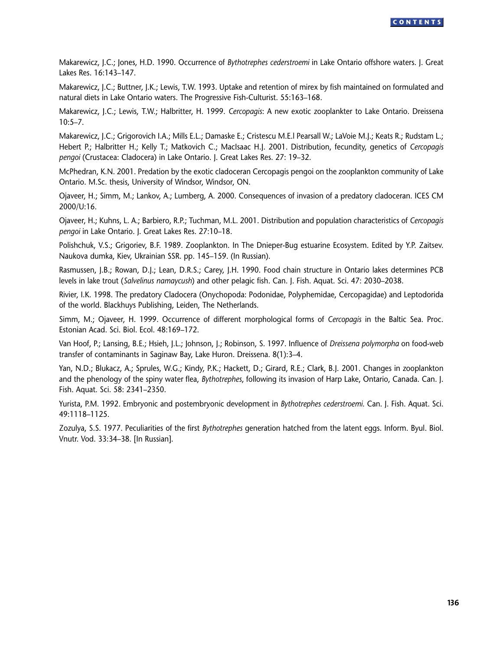Makarewicz, J.C.; Jones, H.D. 1990. Occurrence of *Bythotrephes cederstroemi* in Lake Ontario offshore waters. J. Great Lakes Res. 16:143–147.

Makarewicz, J.C.; Buttner, J.K.; Lewis, T.W. 1993. Uptake and retention of mirex by fish maintained on formulated and natural diets in Lake Ontario waters. The Progressive Fish-Culturist. 55:163–168.

Makarewicz, J.C.; Lewis, T.W.; Halbritter, H. 1999. *Cercopagis*: A new exotic zooplankter to Lake Ontario. Dreissena 10:5–7.

Makarewicz, J.C.; Grigorovich I.A.; Mills E.L.; Damaske E.; Cristescu M.E.l Pearsall W.; LaVoie M.J.; Keats R.; Rudstam L.; Hebert P.; Halbritter H.; Kelly T.; Matkovich C.; MacIsaac H.J. 2001. Distribution, fecundity, genetics of *Cercopagis pengoi* (Crustacea: Cladocera) in Lake Ontario. J. Great Lakes Res. 27: 19–32.

McPhedran, K.N. 2001. Predation by the exotic cladoceran Cercopagis pengoi on the zooplankton community of Lake Ontario. M.Sc. thesis, University of Windsor, Windsor, ON.

Ojaveer, H.; Simm, M.; Lankov, A.; Lumberg, A. 2000. Consequences of invasion of a predatory cladoceran. ICES CM 2000/U:16.

Ojaveer, H.; Kuhns, L. A.; Barbiero, R.P.; Tuchman, M.L. 2001. Distribution and population characteristics of *Cercopagis pengoi* in Lake Ontario. J. Great Lakes Res. 27:10–18.

Polishchuk, V.S.; Grigoriev, B.F. 1989. Zooplankton. In The Dnieper-Bug estuarine Ecosystem. Edited by Y.P. Zaitsev. Naukova dumka, Kiev, Ukrainian SSR. pp. 145–159. (In Russian).

Rasmussen, J.B.; Rowan, D.J.; Lean, D.R.S.; Carey, J.H. 1990. Food chain structure in Ontario lakes determines PCB levels in lake trout (*Salvelinus namaycush*) and other pelagic fish. Can. J. Fish. Aquat. Sci. 47: 2030–2038.

Rivier, I.K. 1998. The predatory Cladocera (Onychopoda: Podonidae, Polyphemidae, Cercopagidae) and Leptodorida of the world. Blackhuys Publishing, Leiden, The Netherlands.

Simm, M.; Ojaveer, H. 1999. Occurrence of different morphological forms of *Cercopagis* in the Baltic Sea. Proc. Estonian Acad. Sci. Biol. Ecol. 48:169–172.

Van Hoof, P.; Lansing, B.E.; Hsieh, J.L.; Johnson, J.; Robinson, S. 1997. Influence of *Dreissena polymorpha* on food-web transfer of contaminants in Saginaw Bay, Lake Huron. Dreissena. 8(1):3–4.

Yan, N.D.; Blukacz, A.; Sprules, W.G.; Kindy, P.K.; Hackett, D.; Girard, R.E.; Clark, B.J. 2001. Changes in zooplankton and the phenology of the spiny water flea, *Bythotrephes*, following its invasion of Harp Lake, Ontario, Canada. Can. J. Fish. Aquat. Sci. 58: 2341–2350.

Yurista, P.M. 1992. Embryonic and postembryonic development in *Bythotrephes cederstroemi*. Can. J. Fish. Aquat. Sci. 49:1118–1125.

Zozulya, S.S. 1977. Peculiarities of the first *Bythotrephes* generation hatched from the latent eggs. Inform. Byul. Biol. Vnutr. Vod. 33:34–38. [In Russian].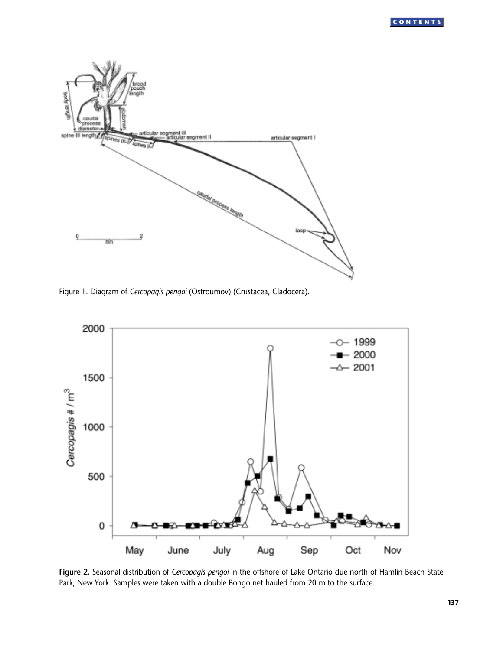

Figure 1. Diagram of *Cercopagis pengoi* (Ostroumov) (Crustacea, Cladocera).



**Figure 2.** Seasonal distribution of *Cercopagis pengoi* in the offshore of Lake Ontario due north of Hamlin Beach State Park, New York. Samples were taken with a double Bongo net hauled from 20 m to the surface.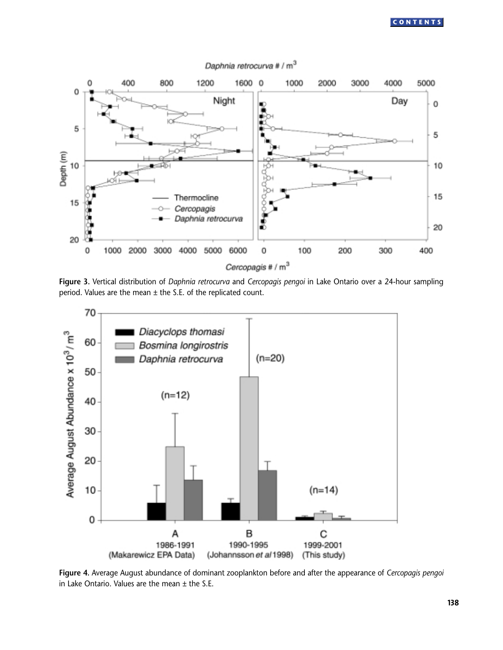

Daphnia retrocurva # / m<sup>3</sup>





**Figure 4.** Average August abundance of dominant zooplankton before and after the appearance of *Cercopagis pengoi* in Lake Ontario. Values are the mean  $\pm$  the S.E.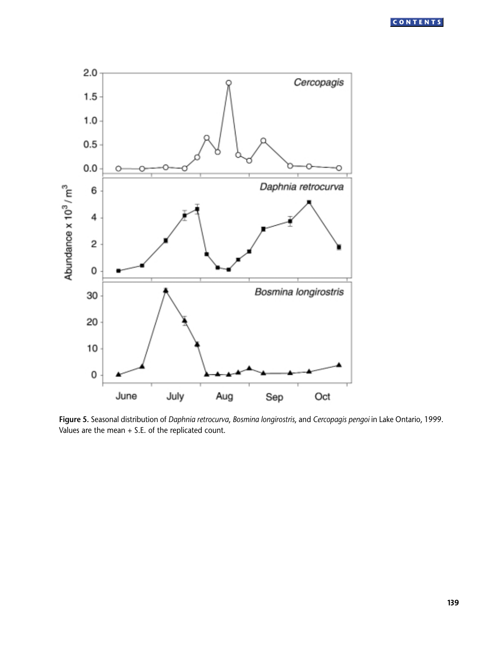

**Figure 5.** Seasonal distribution of *Daphnia retrocurva*, *Bosmina longirostris*, and *Cercopagis pengoi* in Lake Ontario, 1999. Values are the mean + S.E. of the replicated count.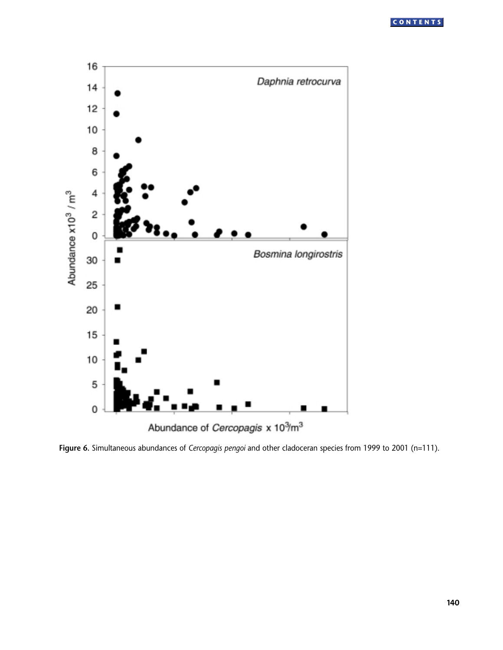

**Figure 6.** Simultaneous abundances of *Cercopagis pengoi* and other cladoceran species from 1999 to 2001 (n=111).